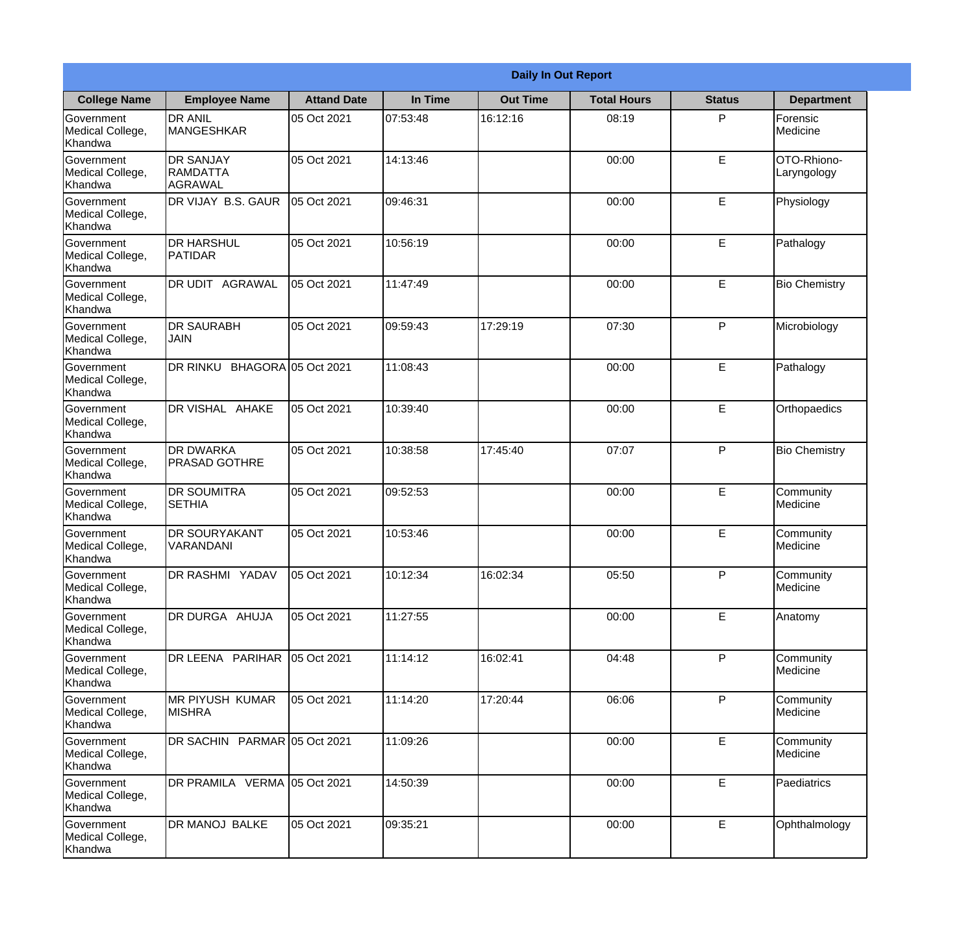|                                                  |                                            |                    |          | <b>Daily In Out Report</b> |                    |               |                            |
|--------------------------------------------------|--------------------------------------------|--------------------|----------|----------------------------|--------------------|---------------|----------------------------|
| <b>College Name</b>                              | <b>Employee Name</b>                       | <b>Attand Date</b> | In Time  | <b>Out Time</b>            | <b>Total Hours</b> | <b>Status</b> | <b>Department</b>          |
| Government<br>Medical College,<br>Khandwa        | <b>DR ANIL</b><br><b>MANGESHKAR</b>        | 05 Oct 2021        | 07:53:48 | 16:12:16                   | 08:19              | P             | Forensic<br>Medicine       |
| Government<br>Medical College,<br>Khandwa        | <b>DR SANJAY</b><br>RAMDATTA<br>AGRAWAL    | 05 Oct 2021        | 14:13:46 |                            | 00:00              | E             | OTO-Rhiono-<br>Laryngology |
| <b>Government</b><br>Medical College,<br>Khandwa | DR VIJAY B.S. GAUR                         | 05 Oct 2021        | 09:46:31 |                            | 00:00              | E             | Physiology                 |
| Government<br>Medical College,<br>Khandwa        | <b>DR HARSHUL</b><br>PATIDAR               | 05 Oct 2021        | 10:56:19 |                            | 00:00              | E             | Pathalogy                  |
| Government<br>Medical College,<br>Khandwa        | DR UDIT AGRAWAL                            | 05 Oct 2021        | 11:47:49 |                            | 00:00              | E             | <b>Bio Chemistry</b>       |
| Government<br>Medical College,<br>Khandwa        | <b>DR SAURABH</b><br><b>JAIN</b>           | 05 Oct 2021        | 09:59:43 | 17:29:19                   | 07:30              | P             | Microbiology               |
| Government<br>Medical College,<br>Khandwa        | DR RINKU BHAGORA 05 Oct 2021               |                    | 11:08:43 |                            | 00:00              | E             | Pathalogy                  |
| <b>Government</b><br>Medical College,<br>Khandwa | DR VISHAL AHAKE                            | 05 Oct 2021        | 10:39:40 |                            | 00:00              | E             | Orthopaedics               |
| Government<br>Medical College,<br>Khandwa        | <b>I</b> DR DWARKA<br><b>PRASAD GOTHRE</b> | 05 Oct 2021        | 10:38:58 | 17:45:40                   | 07:07              | P             | <b>Bio Chemistry</b>       |
| Government<br>Medical College,<br>Khandwa        | <b>DR SOUMITRA</b><br><b>SETHIA</b>        | 05 Oct 2021        | 09:52:53 |                            | 00:00              | E             | Community<br>Medicine      |
| Government<br>Medical College,<br>Khandwa        | <b>DR SOURYAKANT</b><br>VARANDANI          | 05 Oct 2021        | 10:53:46 |                            | 00:00              | E             | Community<br>Medicine      |
| Government<br>Medical College,<br>Khandwa        | <b>DR RASHMI YADAV</b>                     | 05 Oct 2021        | 10:12:34 | 16:02:34                   | 05:50              | P             | Community<br>Medicine      |
| Government<br>Medical College,<br>Khandwa        | DR DURGA AHUJA                             | 05 Oct 2021        | 11:27:55 |                            | 00:00              | E             | Anatomy                    |
| Government<br>Medical College,<br>Khandwa        | DR LEENA PARIHAR                           | 05 Oct 2021        | 11:14:12 | 16:02:41                   | 04:48              | P             | Community<br>Medicine      |
| <b>Government</b><br>Medical College,<br>Khandwa | IMR PIYUSH KUMAR<br><b>MISHRA</b>          | 05 Oct 2021        | 11:14:20 | 17:20:44                   | 06:06              | P             | Community<br>Medicine      |
| Government<br>Medical College,<br>Khandwa        | DR SACHIN PARMAR 05 Oct 2021               |                    | 11:09:26 |                            | 00:00              | E             | Community<br>Medicine      |
| Government<br>Medical College,<br>Khandwa        | DR PRAMILA VERMA 05 Oct 2021               |                    | 14:50:39 |                            | 00:00              | E             | Paediatrics                |
| Government<br>Medical College,<br>Khandwa        | DR MANOJ BALKE                             | 05 Oct 2021        | 09:35:21 |                            | 00:00              | E             | Ophthalmology              |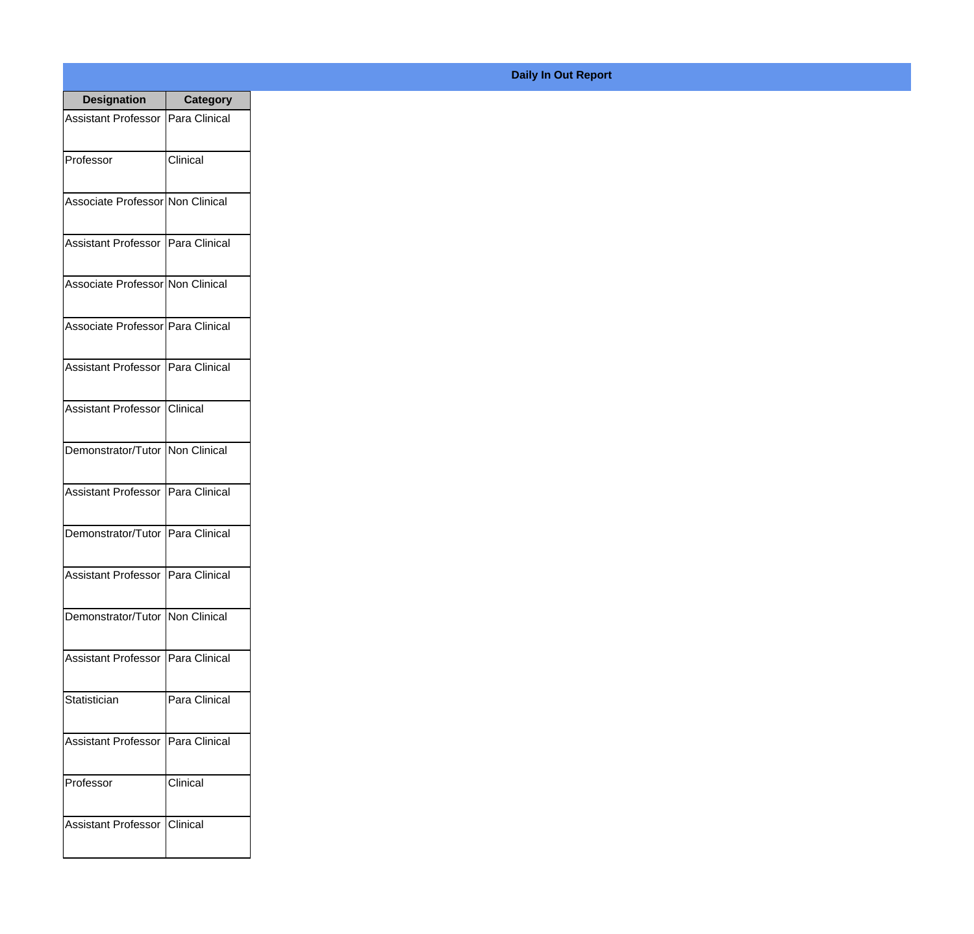| <b>Designation</b>                  | <b>Category</b> |
|-------------------------------------|-----------------|
| Assistant Professor   Para Clinical |                 |
| Professor                           | Clinical        |
| Associate Professor Non Clinical    |                 |
| Assistant Professor   Para Clinical |                 |
| Associate Professor Non Clinical    |                 |
| Associate Professor Para Clinical   |                 |
| Assistant Professor   Para Clinical |                 |
| Assistant Professor   Clinical      |                 |
| Demonstrator/Tutor   Non Clinical   |                 |
| <b>Assistant Professor</b>          | Para Clinical   |
| Demonstrator/Tutor                  | Para Clinical   |
| Assistant Professor   Para Clinical |                 |
| Demonstrator/Tutor   Non Clinical   |                 |
| <b>Assistant Professor</b>          | Para Clinical   |
| Statistician                        | Para Clinical   |
| <b>Assistant Professor</b>          | Para Clinical   |
| Professor                           | Clinical        |
| <b>Assistant Professor</b>          | <b>Clinical</b> |

## **Daily In Out Report**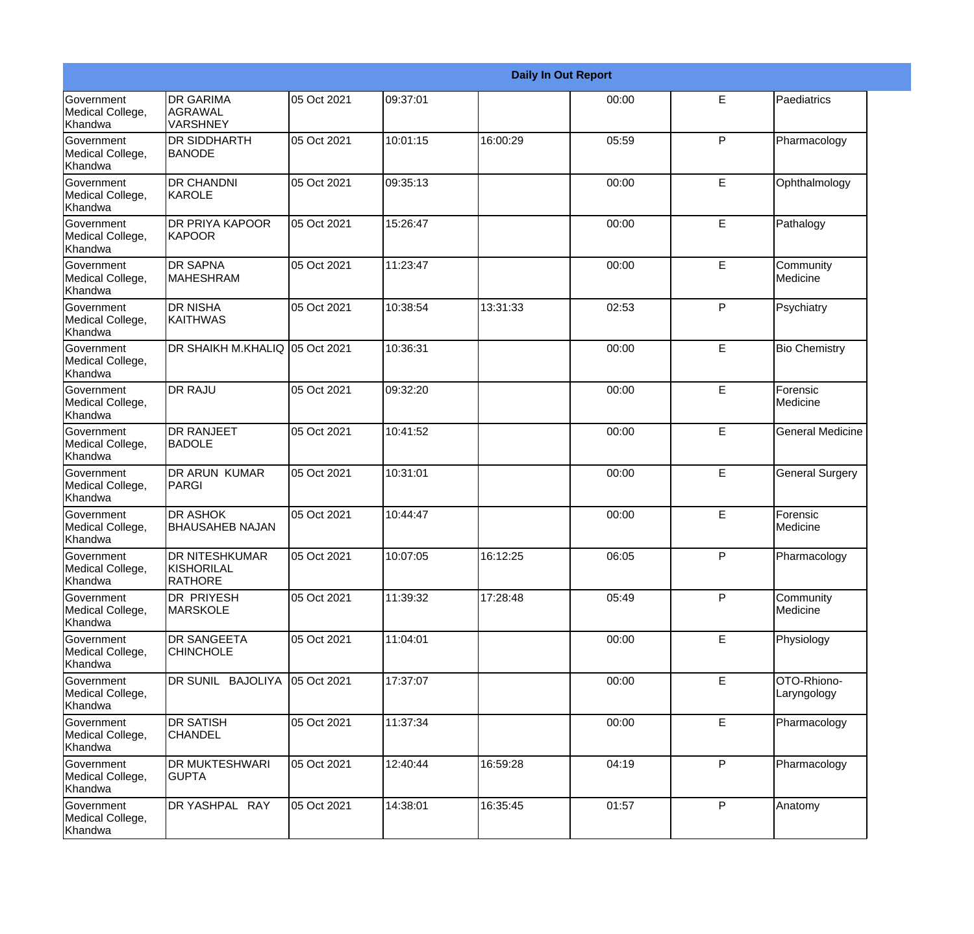|                                                         |                                                |             |          |          | <b>Daily In Out Report</b> |              |                            |
|---------------------------------------------------------|------------------------------------------------|-------------|----------|----------|----------------------------|--------------|----------------------------|
| Government<br>Medical College,<br>Khandwa               | <b>DR GARIMA</b><br>AGRAWAL<br>VARSHNEY        | 05 Oct 2021 | 09:37:01 |          | 00:00                      | E            | Paediatrics                |
| Government<br>Medical College,<br>Khandwa               | <b>DR SIDDHARTH</b><br><b>BANODE</b>           | 05 Oct 2021 | 10:01:15 | 16:00:29 | 05:59                      | $\mathsf{P}$ | Pharmacology               |
| Government<br>Medical College,<br>Khandwa               | <b>DR CHANDNI</b><br>KAROLE                    | 05 Oct 2021 | 09:35:13 |          | 00:00                      | E            | Ophthalmology              |
| Government<br>Medical College,<br>Khandwa               | DR PRIYA KAPOOR<br><b>KAPOOR</b>               | 05 Oct 2021 | 15:26:47 |          | 00:00                      | E            | Pathalogy                  |
| Government<br>Medical College,<br>Khandwa               | <b>DR SAPNA</b><br><b>MAHESHRAM</b>            | 05 Oct 2021 | 11:23:47 |          | 00:00                      | E            | Community<br>Medicine      |
| <b>Government</b><br>Medical College,<br><b>Khandwa</b> | <b>DR NISHA</b><br>IKAITHWAS                   | 05 Oct 2021 | 10:38:54 | 13:31:33 | 02:53                      | $\mathsf{P}$ | Psychiatry                 |
| Government<br>Medical College,<br>Khandwa               | DR SHAIKH M.KHALIQ 05 Oct 2021                 |             | 10:36:31 |          | 00:00                      | E            | <b>Bio Chemistry</b>       |
| <b>Government</b><br>Medical College,<br>Khandwa        | <b>DR RAJU</b>                                 | 05 Oct 2021 | 09:32:20 |          | 00:00                      | E            | Forensic<br>Medicine       |
| Government<br>Medical College,<br>Khandwa               | DR RANJEET<br><b>BADOLE</b>                    | 05 Oct 2021 | 10:41:52 |          | 00:00                      | E            | <b>General Medicine</b>    |
| Government<br>Medical College,<br>Khandwa               | <b>DR ARUN KUMAR</b><br>PARGI                  | 05 Oct 2021 | 10:31:01 |          | 00:00                      | E            | <b>General Surgery</b>     |
| Government<br>Medical College,<br>Khandwa               | <b>DR ASHOK</b><br><b>BHAUSAHEB NAJAN</b>      | 05 Oct 2021 | 10:44:47 |          | 00:00                      | E            | Forensic<br>Medicine       |
| Government<br>Medical College,<br>Khandwa               | DR NITESHKUMAR<br>KISHORILAL<br><b>RATHORE</b> | 05 Oct 2021 | 10:07:05 | 16:12:25 | 06:05                      | P            | Pharmacology               |
| Government<br>Medical College,<br>Khandwa               | <b>DR PRIYESH</b><br><b>MARSKOLE</b>           | 05 Oct 2021 | 11:39:32 | 17:28:48 | 05:49                      | P            | Community<br>Medicine      |
| Government<br>Medical College,<br>Khandwa               | <b>DR SANGEETA</b><br><b>CHINCHOLE</b>         | 05 Oct 2021 | 11:04:01 |          | 00:00                      | E            | Physiology                 |
| Government<br>Medical College,<br>Khandwa               | DR SUNIL BAJOLIYA                              | 05 Oct 2021 | 17:37:07 |          | 00:00                      | E            | OTO-Rhiono-<br>Laryngology |
| Government<br>Medical College,<br>Khandwa               | <b>DR SATISH</b><br><b>CHANDEL</b>             | 05 Oct 2021 | 11:37:34 |          | 00:00                      | E            | Pharmacology               |
| Government<br>Medical College,<br>Khandwa               | DR MUKTESHWARI<br><b>GUPTA</b>                 | 05 Oct 2021 | 12:40:44 | 16:59:28 | 04:19                      | P            | Pharmacology               |
| Government<br>Medical College,<br>Khandwa               | DR YASHPAL RAY                                 | 05 Oct 2021 | 14:38:01 | 16:35:45 | 01:57                      | P            | Anatomy                    |